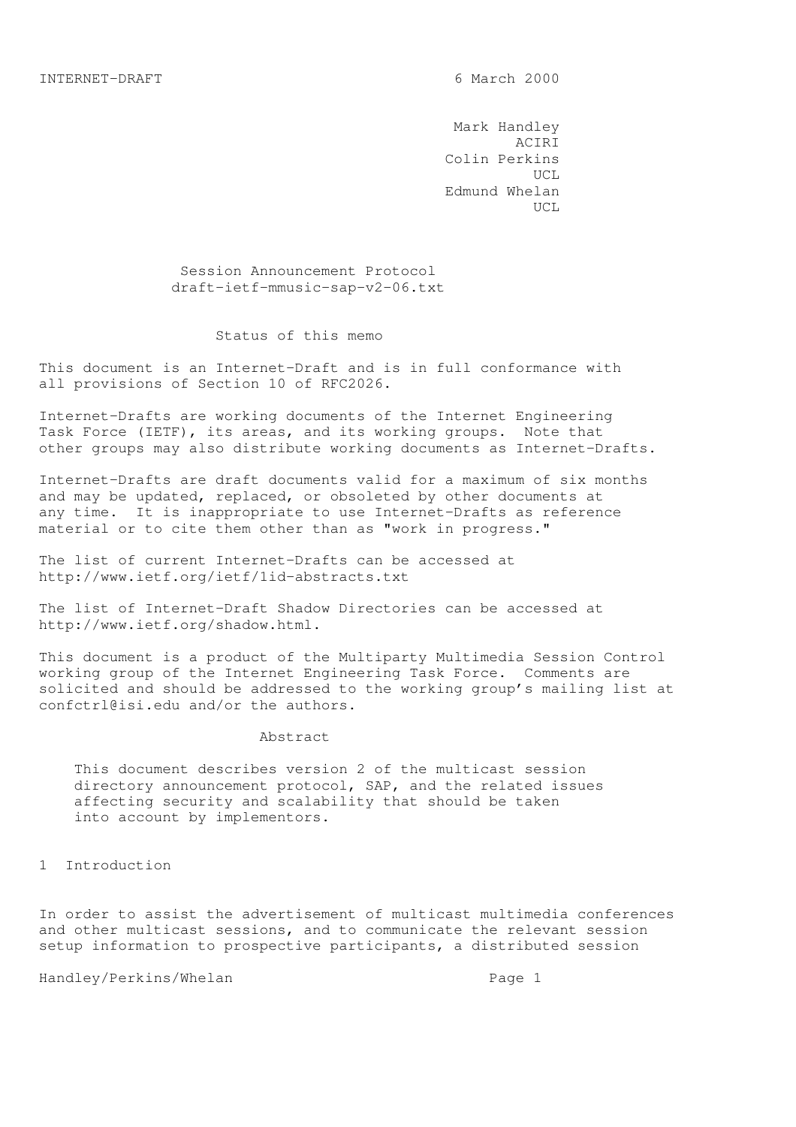Mark Handley ACIRI Colin Perkins UCL Edmund Whelan UCL

> Session Announcement Protocol draft-ietf-mmusic-sap-v2-06.txt

#### Status of this memo

This document is an Internet-Draft and is in full conformance with all provisions of Section 10 of RFC2026.

Internet-Drafts are working documents of the Internet Engineering Task Force (IETF), its areas, and its working groups. Note that other groups may also distribute working documents as Internet-Drafts.

Internet-Drafts are draft documents valid for a maximum of six months and may be updated, replaced, or obsoleted by other documents at any time. It is inappropriate to use Internet-Drafts as reference material or to cite them other than as "work in progress."

The list of current Internet-Drafts can be accessed at http://www.ietf.org/ietf/1id-abstracts.txt

The list of Internet-Draft Shadow Directories can be accessed at http://www.ietf.org/shadow.html.

This document is a product of the Multiparty Multimedia Session Control working group of the Internet Engineering Task Force. Comments are solicited and should be addressed to the working group's mailing list at confctrl@isi.edu and/or the authors.

#### Abstract

 This document describes version 2 of the multicast session directory announcement protocol, SAP, and the related issues affecting security and scalability that should be taken into account by implementors.

1 Introduction

In order to assist the advertisement of multicast multimedia conferences and other multicast sessions, and to communicate the relevant session setup information to prospective participants, a distributed session

Handley/Perkins/Whelan extended the Page 1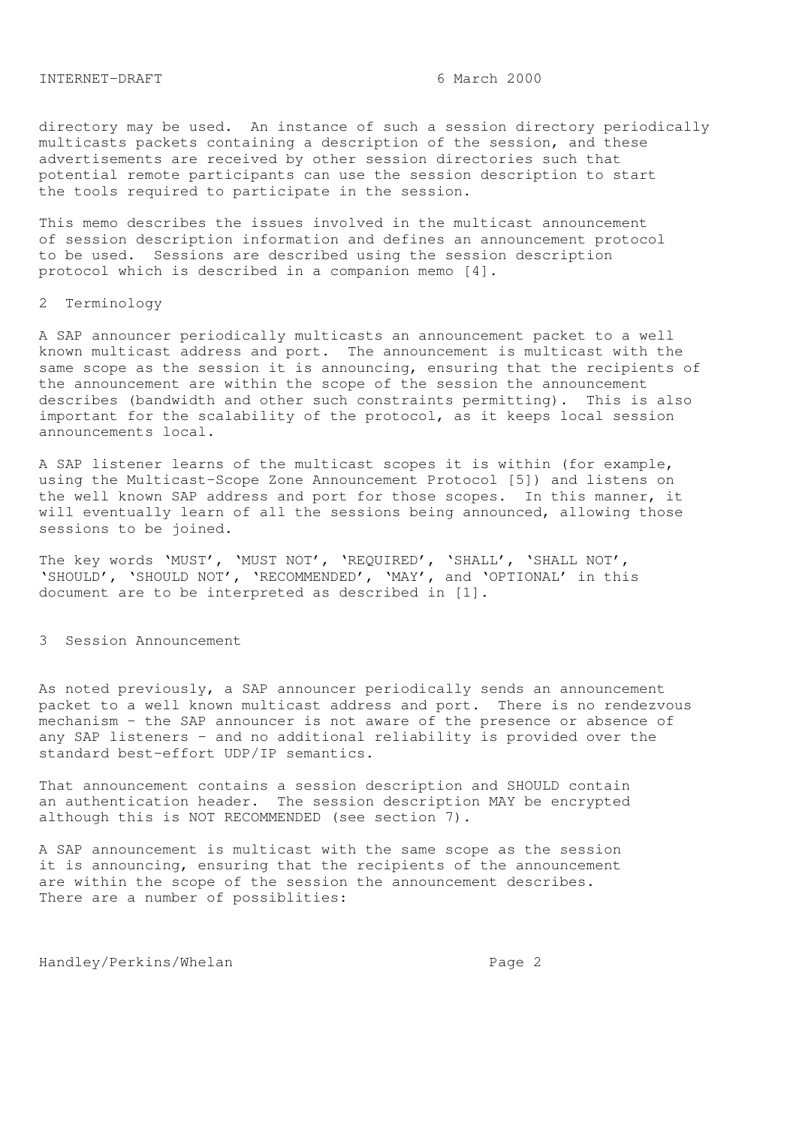### INTERNET-DRAFT 6 March 2000

directory may be used. An instance of such a session directory periodically multicasts packets containing a description of the session, and these advertisements are received by other session directories such that potential remote participants can use the session description to start the tools required to participate in the session.

This memo describes the issues involved in the multicast announcement of session description information and defines an announcement protocol to be used. Sessions are described using the session description protocol which is described in a companion memo [4].

#### 2 Terminology

A SAP announcer periodically multicasts an announcement packet to a well known multicast address and port. The announcement is multicast with the same scope as the session it is announcing, ensuring that the recipients of the announcement are within the scope of the session the announcement describes (bandwidth and other such constraints permitting). This is also important for the scalability of the protocol, as it keeps local session announcements local.

A SAP listener learns of the multicast scopes it is within (for example, using the Multicast-Scope Zone Announcement Protocol [5]) and listens on the well known SAP address and port for those scopes. In this manner, it will eventually learn of all the sessions being announced, allowing those sessions to be joined.

The key words 'MUST', 'MUST NOT', 'REQUIRED', 'SHALL', 'SHALL NOT', 'SHOULD', 'SHOULD NOT', 'RECOMMENDED', 'MAY', and 'OPTIONAL' in this document are to be interpreted as described in [1].

# 3 Session Announcement

As noted previously, a SAP announcer periodically sends an announcement packet to a well known multicast address and port. There is no rendezvous mechanism - the SAP announcer is not aware of the presence or absence of any SAP listeners - and no additional reliability is provided over the standard best-effort UDP/IP semantics.

That announcement contains a session description and SHOULD contain an authentication header. The session description MAY be encrypted although this is NOT RECOMMENDED (see section 7).

A SAP announcement is multicast with the same scope as the session it is announcing, ensuring that the recipients of the announcement are within the scope of the session the announcement describes. There are a number of possiblities: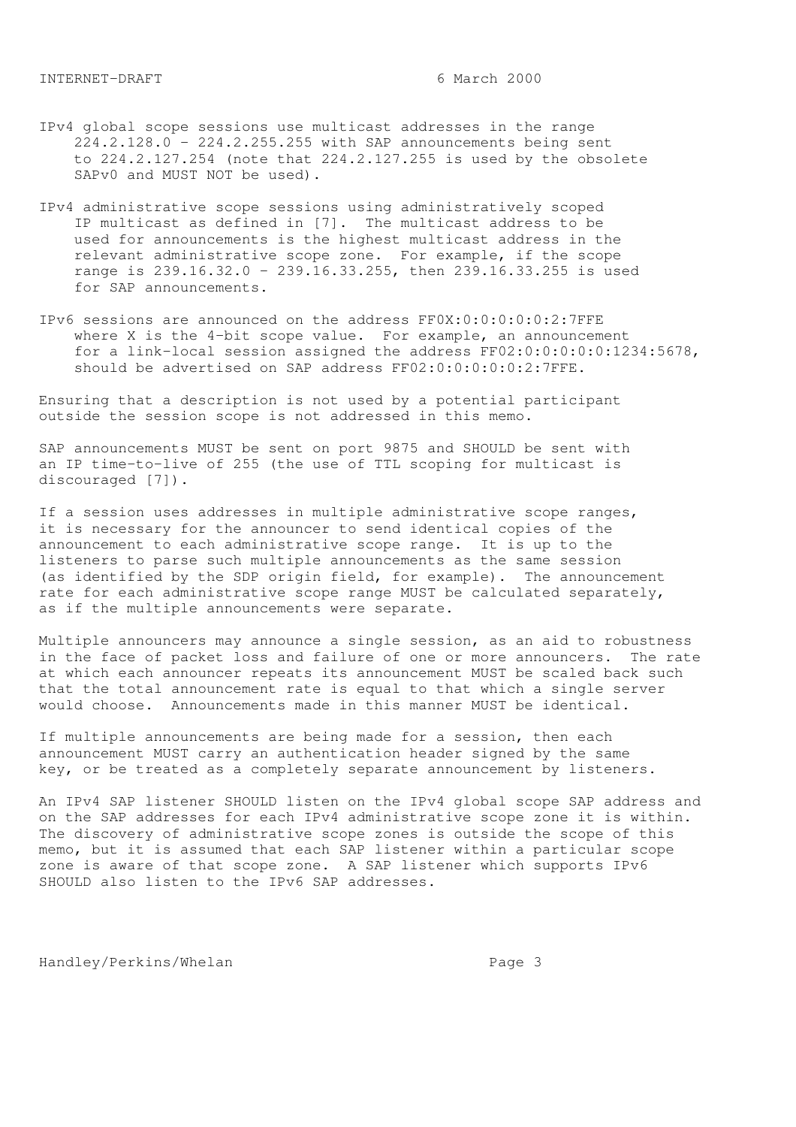- IPv4 global scope sessions use multicast addresses in the range 224.2.128.0 - 224.2.255.255 with SAP announcements being sent to 224.2.127.254 (note that 224.2.127.255 is used by the obsolete SAPv0 and MUST NOT be used).
- IPv4 administrative scope sessions using administratively scoped IP multicast as defined in [7]. The multicast address to be used for announcements is the highest multicast address in the relevant administrative scope zone. For example, if the scope range is 239.16.32.0 - 239.16.33.255, then 239.16.33.255 is used for SAP announcements.
- IPv6 sessions are announced on the address FF0X:0:0:0:0:0:2:7FFE where X is the 4-bit scope value. For example, an announcement for a link-local session assigned the address FF02:0:0:0:0:0:1234:5678, should be advertised on SAP address FF02:0:0:0:0:0:2:7FFE.

Ensuring that a description is not used by a potential participant outside the session scope is not addressed in this memo.

SAP announcements MUST be sent on port 9875 and SHOULD be sent with an IP time-to-live of 255 (the use of TTL scoping for multicast is discouraged [7]).

If a session uses addresses in multiple administrative scope ranges, it is necessary for the announcer to send identical copies of the announcement to each administrative scope range. It is up to the listeners to parse such multiple announcements as the same session (as identified by the SDP origin field, for example). The announcement rate for each administrative scope range MUST be calculated separately, as if the multiple announcements were separate.

Multiple announcers may announce a single session, as an aid to robustness in the face of packet loss and failure of one or more announcers. The rate at which each announcer repeats its announcement MUST be scaled back such that the total announcement rate is equal to that which a single server would choose. Announcements made in this manner MUST be identical.

If multiple announcements are being made for a session, then each announcement MUST carry an authentication header signed by the same key, or be treated as a completely separate announcement by listeners.

An IPv4 SAP listener SHOULD listen on the IPv4 global scope SAP address and on the SAP addresses for each IPv4 administrative scope zone it is within. The discovery of administrative scope zones is outside the scope of this memo, but it is assumed that each SAP listener within a particular scope zone is aware of that scope zone. A SAP listener which supports IPv6 SHOULD also listen to the IPv6 SAP addresses.

Handley/Perkins/Whelan extended by Page 3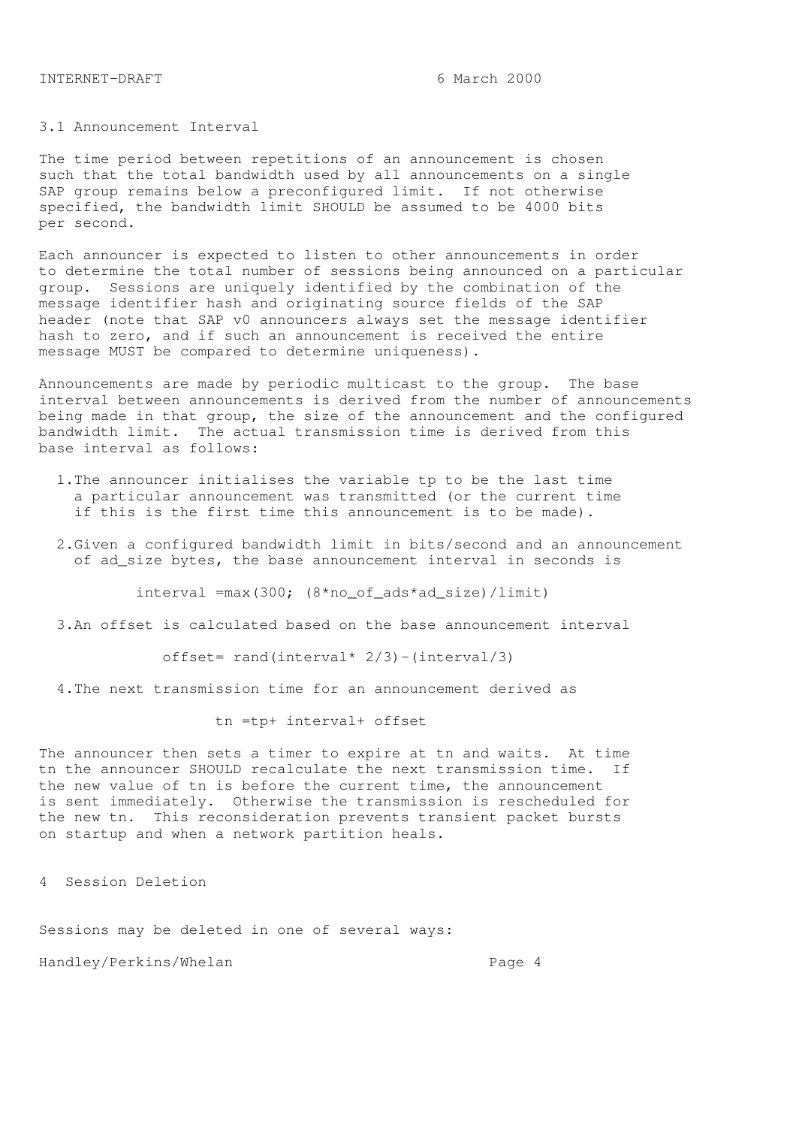# 3.1 Announcement Interval

The time period between repetitions of an announcement is chosen such that the total bandwidth used by all announcements on a single SAP group remains below a preconfigured limit. If not otherwise specified, the bandwidth limit SHOULD be assumed to be 4000 bits per second.

Each announcer is expected to listen to other announcements in order to determine the total number of sessions being announced on a particular group. Sessions are uniquely identified by the combination of the message identifier hash and originating source fields of the SAP header (note that SAP v0 announcers always set the message identifier hash to zero, and if such an announcement is received the entire message MUST be compared to determine uniqueness).

Announcements are made by periodic multicast to the group. The base interval between announcements is derived from the number of announcements being made in that group, the size of the announcement and the configured bandwidth limit. The actual transmission time is derived from this base interval as follows:

- 1.The announcer initialises the variable tp to be the last time a particular announcement was transmitted (or the current time if this is the first time this announcement is to be made).
- 2.Given a configured bandwidth limit in bits/second and an announcement of ad\_size bytes, the base announcement interval in seconds is

interval =max(300; (8\*no\_of\_ads\*ad\_size)/limit)

3.An offset is calculated based on the base announcement interval

offset= rand(interval\*  $2/3$ ) -(interval/3)

4.The next transmission time for an announcement derived as

tn =tp+ interval+ offset

The announcer then sets a timer to expire at tn and waits. At time tn the announcer SHOULD recalculate the next transmission time. If the new value of tn is before the current time, the announcement is sent immediately. Otherwise the transmission is rescheduled for the new tn. This reconsideration prevents transient packet bursts on startup and when a network partition heals.

4 Session Deletion

Sessions may be deleted in one of several ways:

Handley/Perkins/Whelan extended the Page 4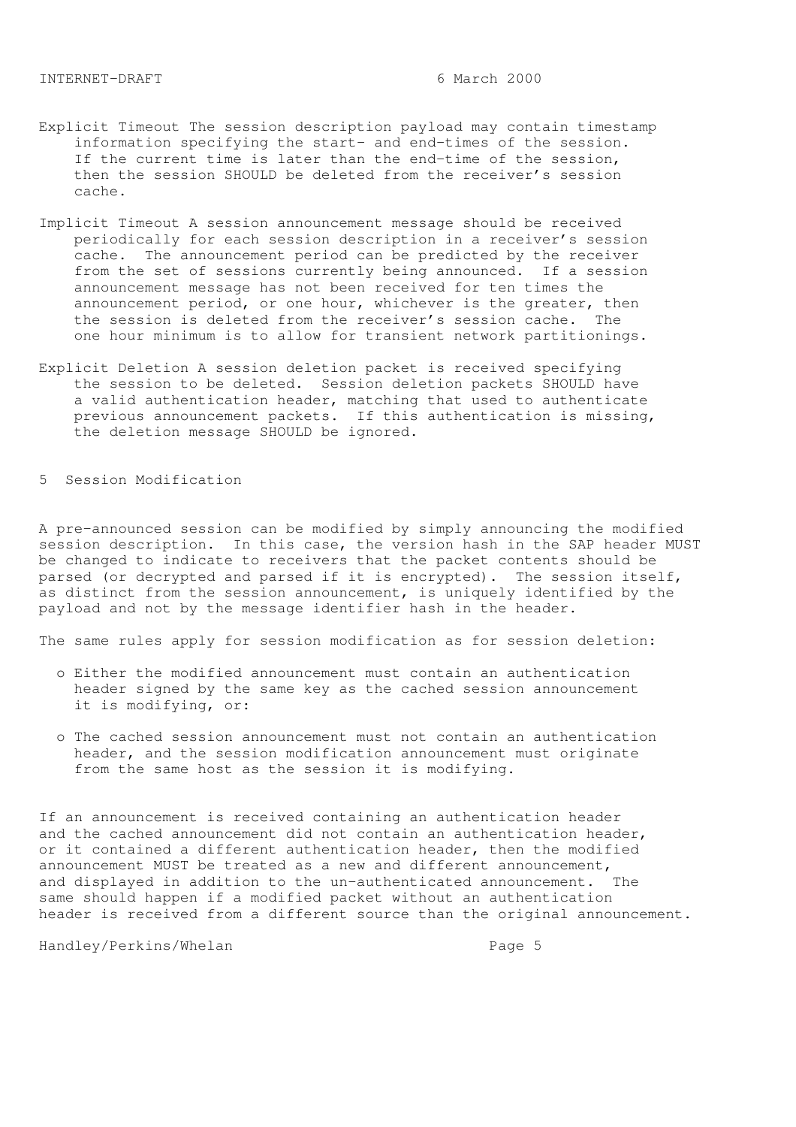- Explicit Timeout The session description payload may contain timestamp information specifying the start- and end-times of the session. If the current time is later than the end-time of the session, then the session SHOULD be deleted from the receiver's session cache.
- Implicit Timeout A session announcement message should be received periodically for each session description in a receiver's session cache. The announcement period can be predicted by the receiver from the set of sessions currently being announced. If a session announcement message has not been received for ten times the announcement period, or one hour, whichever is the greater, then the session is deleted from the receiver's session cache. The one hour minimum is to allow for transient network partitionings.
- Explicit Deletion A session deletion packet is received specifying the session to be deleted. Session deletion packets SHOULD have a valid authentication header, matching that used to authenticate previous announcement packets. If this authentication is missing, the deletion message SHOULD be ignored.

5 Session Modification

A pre-announced session can be modified by simply announcing the modified session description. In this case, the version hash in the SAP header MUST be changed to indicate to receivers that the packet contents should be parsed (or decrypted and parsed if it is encrypted). The session itself, as distinct from the session announcement, is uniquely identified by the payload and not by the message identifier hash in the header.

The same rules apply for session modification as for session deletion:

- o Either the modified announcement must contain an authentication header signed by the same key as the cached session announcement it is modifying, or:
- o The cached session announcement must not contain an authentication header, and the session modification announcement must originate from the same host as the session it is modifying.

If an announcement is received containing an authentication header and the cached announcement did not contain an authentication header, or it contained a different authentication header, then the modified announcement MUST be treated as a new and different announcement, and displayed in addition to the un-authenticated announcement. The same should happen if a modified packet without an authentication header is received from a different source than the original announcement.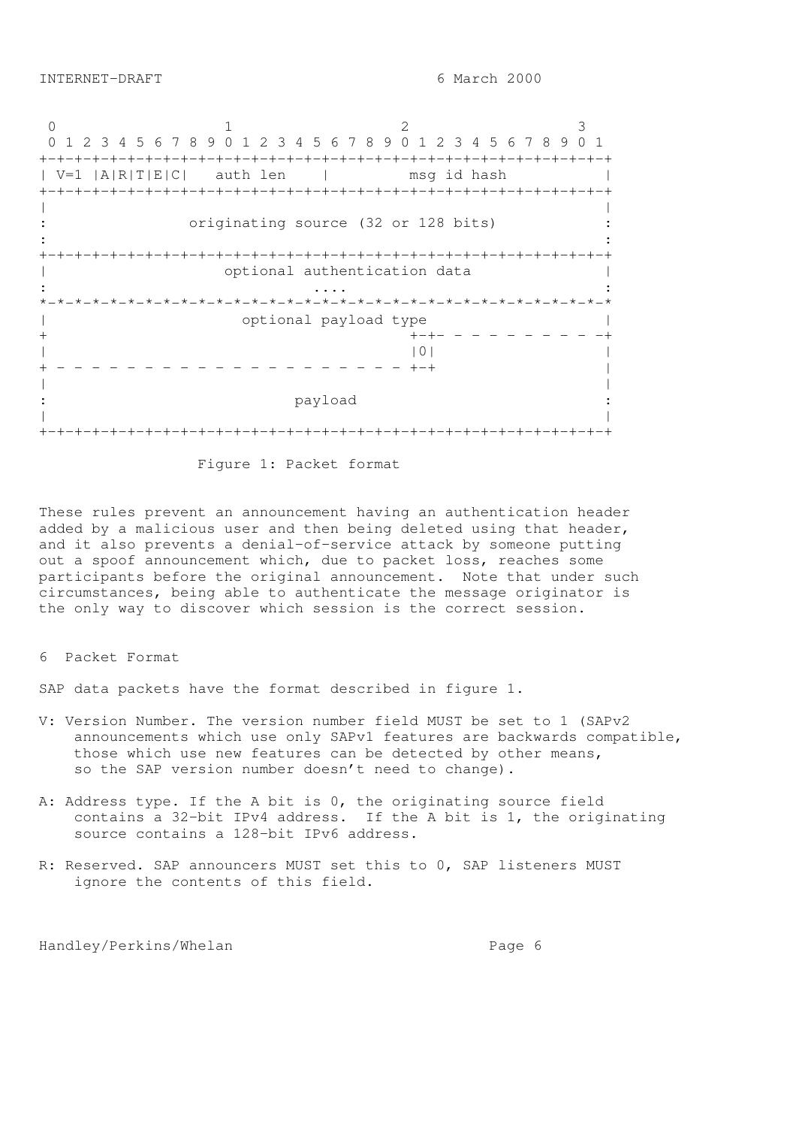0 1 2 3 0 1 2 3 4 5 6 7 8 9 0 1 2 3 4 5 6 7 8 9 0 1 2 3 4 5 6 7 8 9 0 1 +-+-+-+-+-+-+-+-+-+-+-+-+-+-+-+-+-+-+-+-+-+-+-+-+-+-+-+-+-+-+-+-+ | V=1 |A|R|T|E|C| auth len | msg id hash | +-+-+-+-+-+-+-+-+-+-+-+-+-+-+-+-+-+-+-+-+-+-+-+-+-+-+-+-+-+-+-+-+ | | originating source (32 or 128 bits) :  $\mathbf{r} = \mathbf{r} \times \mathbf{r}$  ,  $\mathbf{r} = \mathbf{r} \times \mathbf{r}$  ,  $\mathbf{r} = \mathbf{r} \times \mathbf{r}$  ,  $\mathbf{r} = \mathbf{r} \times \mathbf{r}$  ,  $\mathbf{r} = \mathbf{r} \times \mathbf{r}$  ,  $\mathbf{r} = \mathbf{r} \times \mathbf{r}$  ,  $\mathbf{r} = \mathbf{r} \times \mathbf{r}$  ,  $\mathbf{r} = \mathbf{r} \times \mathbf{r}$  ,  $\mathbf{r} = \mathbf$ +-+-+-+-+-+-+-+-+-+-+-+-+-+-+-+-+-+-+-+-+-+-+-+-+-+-+-+-+-+-+-+-+ | optional authentication data | : .... : \*-\*-\*-\*-\*-\*-\*-\*-\*-\*-\*-\*-\*-\*-\*-\*-\*-\*-\*-\*-\*-\*-\*-\*-\*-\*-\*-\*-\*-\*-\*-\*-\* | optional payload type | + +-+- - - - - - - - - -+  $|0|$ + - - - - - - - - - - - - - - - - - - - - +-+ | | | payload | | +-+-+-+-+-+-+-+-+-+-+-+-+-+-+-+-+-+-+-+-+-+-+-+-+-+-+-+-+-+-+-+-+

Figure 1: Packet format

These rules prevent an announcement having an authentication header added by a malicious user and then being deleted using that header, and it also prevents a denial-of-service attack by someone putting out a spoof announcement which, due to packet loss, reaches some participants before the original announcement. Note that under such circumstances, being able to authenticate the message originator is the only way to discover which session is the correct session.

### 6 Packet Format

SAP data packets have the format described in figure 1.

- V: Version Number. The version number field MUST be set to 1 (SAPv2 announcements which use only SAPv1 features are backwards compatible, those which use new features can be detected by other means, so the SAP version number doesn't need to change).
- A: Address type. If the A bit is 0, the originating source field contains a 32-bit IPv4 address. If the A bit is 1, the originating source contains a 128-bit IPv6 address.
- R: Reserved. SAP announcers MUST set this to 0, SAP listeners MUST ignore the contents of this field.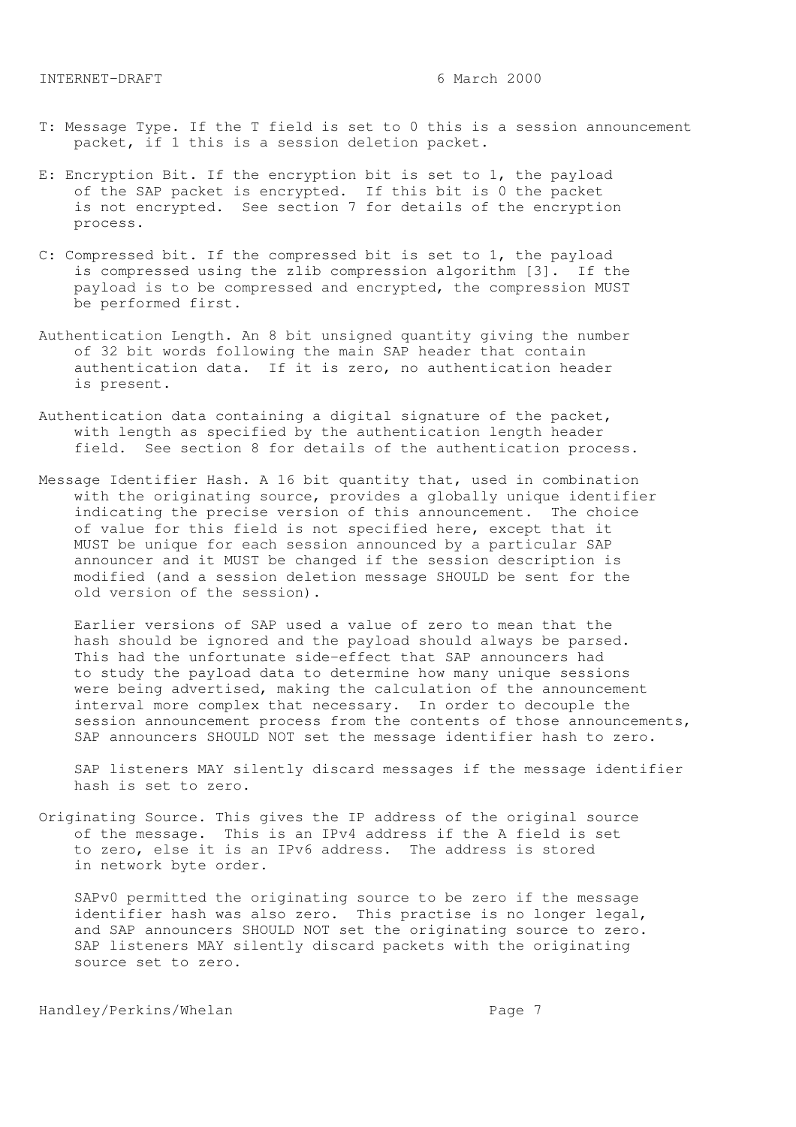- T: Message Type. If the T field is set to 0 this is a session announcement packet, if 1 this is a session deletion packet.
- E: Encryption Bit. If the encryption bit is set to 1, the payload of the SAP packet is encrypted. If this bit is 0 the packet is not encrypted. See section 7 for details of the encryption process.
- C: Compressed bit. If the compressed bit is set to 1, the payload is compressed using the zlib compression algorithm [3]. If the payload is to be compressed and encrypted, the compression MUST be performed first.
- Authentication Length. An 8 bit unsigned quantity giving the number of 32 bit words following the main SAP header that contain authentication data. If it is zero, no authentication header is present.
- Authentication data containing a digital signature of the packet, with length as specified by the authentication length header field. See section 8 for details of the authentication process.
- Message Identifier Hash. A 16 bit quantity that, used in combination with the originating source, provides a globally unique identifier indicating the precise version of this announcement. The choice of value for this field is not specified here, except that it MUST be unique for each session announced by a particular SAP announcer and it MUST be changed if the session description is modified (and a session deletion message SHOULD be sent for the old version of the session).

 Earlier versions of SAP used a value of zero to mean that the hash should be ignored and the payload should always be parsed. This had the unfortunate side-effect that SAP announcers had to study the payload data to determine how many unique sessions were being advertised, making the calculation of the announcement interval more complex that necessary. In order to decouple the session announcement process from the contents of those announcements, SAP announcers SHOULD NOT set the message identifier hash to zero.

 SAP listeners MAY silently discard messages if the message identifier hash is set to zero.

Originating Source. This gives the IP address of the original source of the message. This is an IPv4 address if the A field is set to zero, else it is an IPv6 address. The address is stored in network byte order.

 SAPv0 permitted the originating source to be zero if the message identifier hash was also zero. This practise is no longer legal, and SAP announcers SHOULD NOT set the originating source to zero. SAP listeners MAY silently discard packets with the originating source set to zero.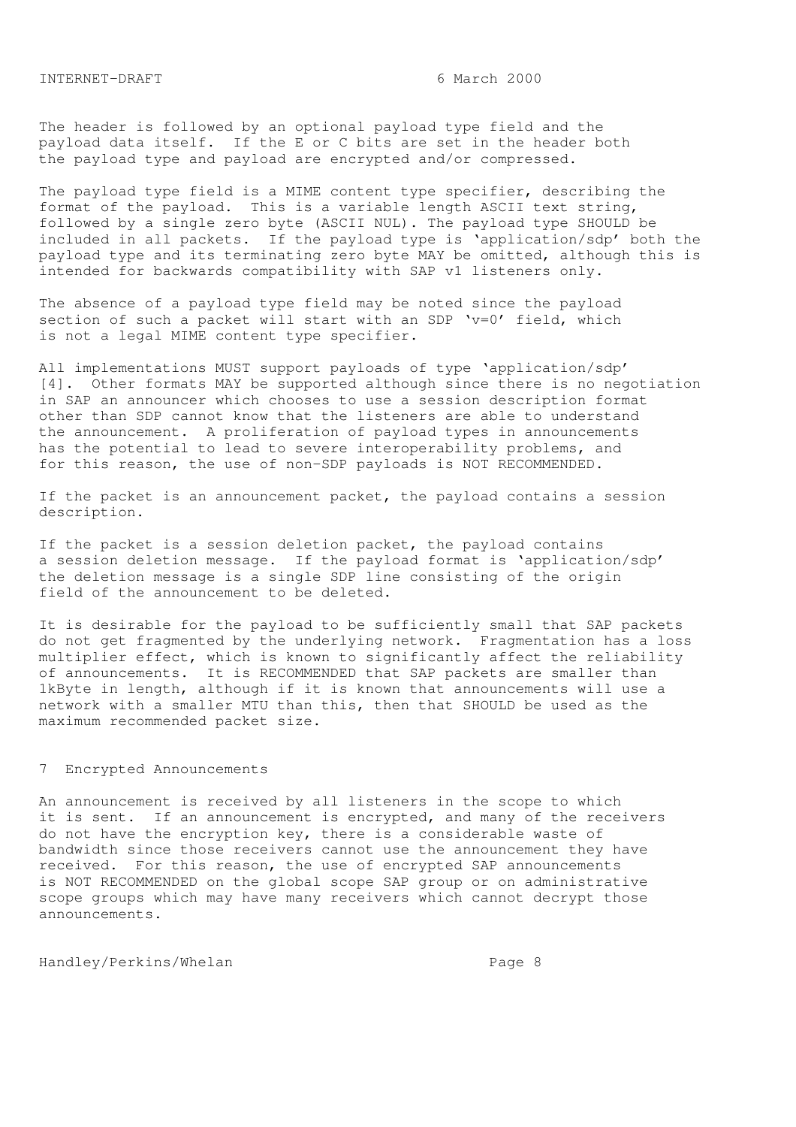INTERNET-DRAFT 6 March 2000

The header is followed by an optional payload type field and the payload data itself. If the E or C bits are set in the header both the payload type and payload are encrypted and/or compressed.

The payload type field is a MIME content type specifier, describing the format of the payload. This is a variable length ASCII text string, followed by a single zero byte (ASCII NUL). The payload type SHOULD be included in all packets. If the payload type is 'application/sdp' both the payload type and its terminating zero byte MAY be omitted, although this is intended for backwards compatibility with SAP v1 listeners only.

The absence of a payload type field may be noted since the payload section of such a packet will start with an SDP  $v=0'$  field, which is not a legal MIME content type specifier.

All implementations MUST support payloads of type 'application/sdp' [4]. Other formats MAY be supported although since there is no negotiation in SAP an announcer which chooses to use a session description format other than SDP cannot know that the listeners are able to understand the announcement. A proliferation of payload types in announcements has the potential to lead to severe interoperability problems, and for this reason, the use of non-SDP payloads is NOT RECOMMENDED.

If the packet is an announcement packet, the payload contains a session description.

If the packet is a session deletion packet, the payload contains a session deletion message. If the payload format is 'application/sdp' the deletion message is a single SDP line consisting of the origin field of the announcement to be deleted.

It is desirable for the payload to be sufficiently small that SAP packets do not get fragmented by the underlying network. Fragmentation has a loss multiplier effect, which is known to significantly affect the reliability of announcements. It is RECOMMENDED that SAP packets are smaller than 1kByte in length, although if it is known that announcements will use a network with a smaller MTU than this, then that SHOULD be used as the maximum recommended packet size.

# 7 Encrypted Announcements

An announcement is received by all listeners in the scope to which it is sent. If an announcement is encrypted, and many of the receivers do not have the encryption key, there is a considerable waste of bandwidth since those receivers cannot use the announcement they have received. For this reason, the use of encrypted SAP announcements is NOT RECOMMENDED on the global scope SAP group or on administrative scope groups which may have many receivers which cannot decrypt those announcements.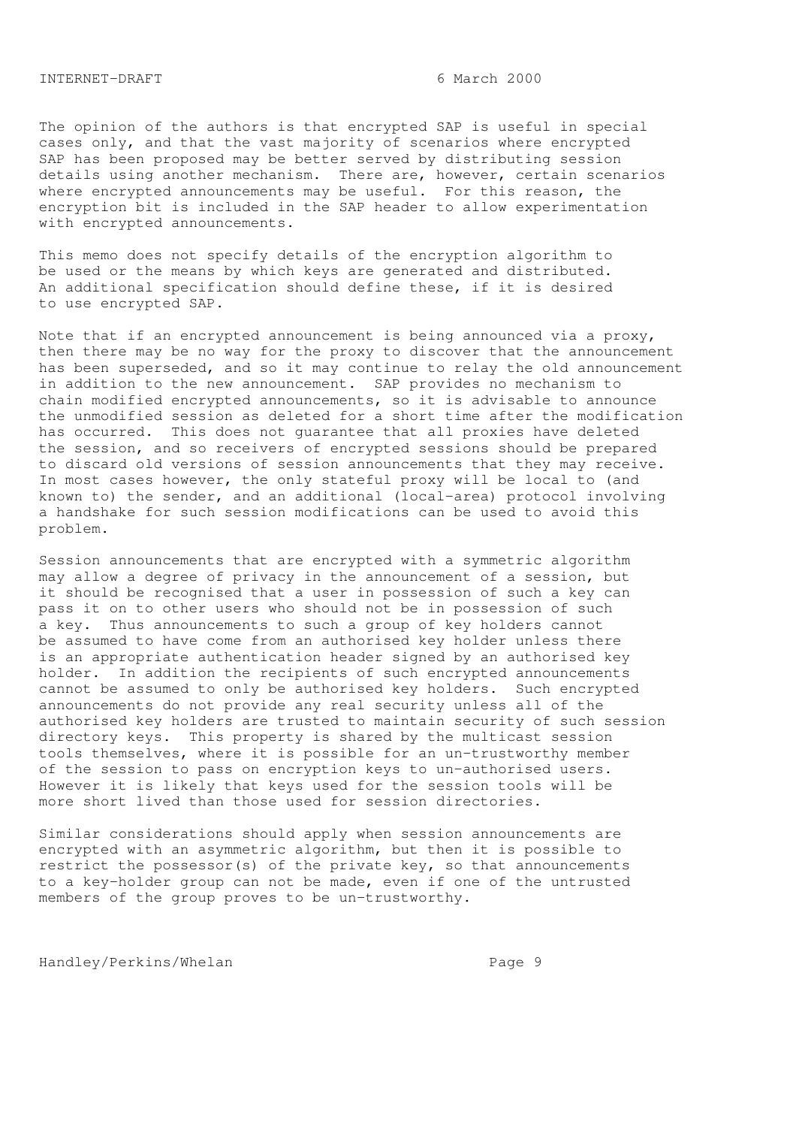The opinion of the authors is that encrypted SAP is useful in special cases only, and that the vast majority of scenarios where encrypted SAP has been proposed may be better served by distributing session details using another mechanism. There are, however, certain scenarios where encrypted announcements may be useful. For this reason, the encryption bit is included in the SAP header to allow experimentation with encrypted announcements.

This memo does not specify details of the encryption algorithm to be used or the means by which keys are generated and distributed. An additional specification should define these, if it is desired to use encrypted SAP.

Note that if an encrypted announcement is being announced via a proxy, then there may be no way for the proxy to discover that the announcement has been superseded, and so it may continue to relay the old announcement in addition to the new announcement. SAP provides no mechanism to chain modified encrypted announcements, so it is advisable to announce the unmodified session as deleted for a short time after the modification has occurred. This does not guarantee that all proxies have deleted the session, and so receivers of encrypted sessions should be prepared to discard old versions of session announcements that they may receive. In most cases however, the only stateful proxy will be local to (and known to) the sender, and an additional (local-area) protocol involving a handshake for such session modifications can be used to avoid this problem.

Session announcements that are encrypted with a symmetric algorithm may allow a degree of privacy in the announcement of a session, but it should be recognised that a user in possession of such a key can pass it on to other users who should not be in possession of such a key. Thus announcements to such a group of key holders cannot be assumed to have come from an authorised key holder unless there is an appropriate authentication header signed by an authorised key holder. In addition the recipients of such encrypted announcements cannot be assumed to only be authorised key holders. Such encrypted announcements do not provide any real security unless all of the authorised key holders are trusted to maintain security of such session directory keys. This property is shared by the multicast session tools themselves, where it is possible for an un-trustworthy member of the session to pass on encryption keys to un-authorised users. However it is likely that keys used for the session tools will be more short lived than those used for session directories.

Similar considerations should apply when session announcements are encrypted with an asymmetric algorithm, but then it is possible to restrict the possessor(s) of the private key, so that announcements to a key-holder group can not be made, even if one of the untrusted members of the group proves to be un-trustworthy.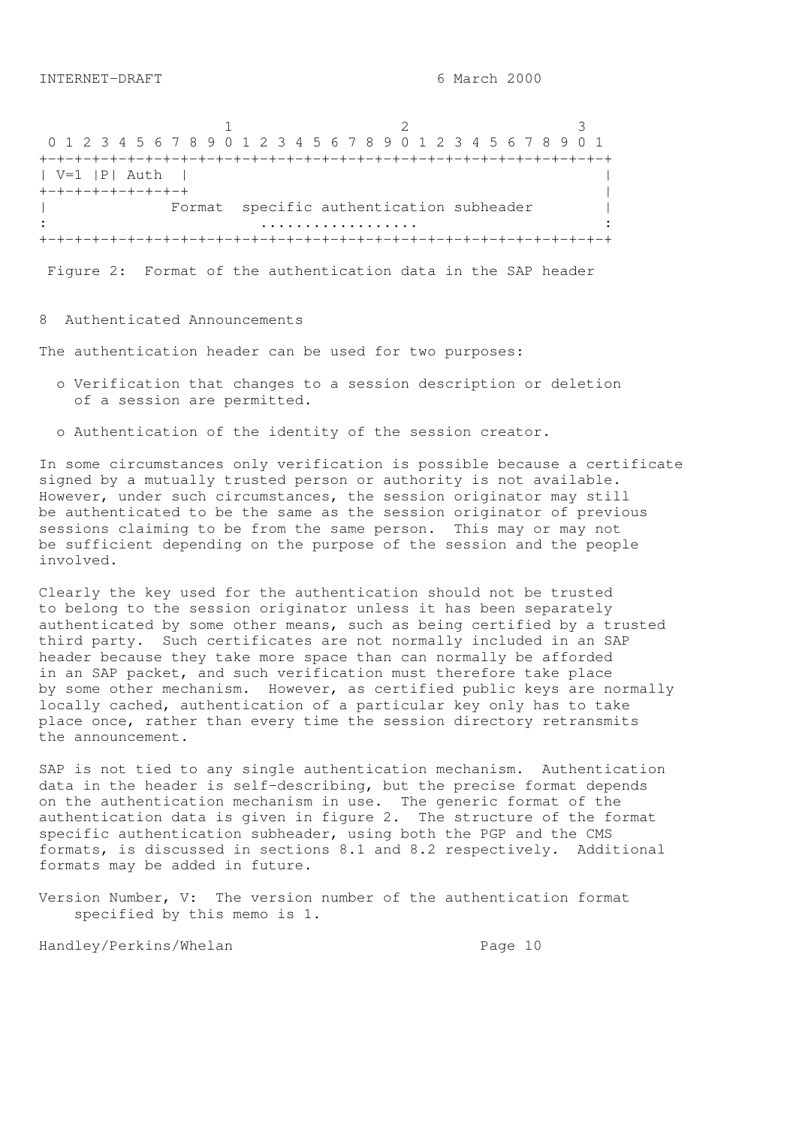1 2 3 0 1 2 3 4 5 6 7 8 9 0 1 2 3 4 5 6 7 8 9 0 1 2 3 4 5 6 7 8 9 0 1 +-+-+-+-+-+-+-+-+-+-+-+-+-+-+-+-+-+-+-+-+-+-+-+-+-+-+-+-+-+-+-+-+ | V=1 |P| Auth | | +-+-+-+-+-+-+-+-+ | Format specific authentication subheader | : .................. : +-+-+-+-+-+-+-+-+-+-+-+-+-+-+-+-+-+-+-+-+-+-+-+-+-+-+-+-+-+-+-+-+

Figure 2: Format of the authentication data in the SAP header

# 8 Authenticated Announcements

The authentication header can be used for two purposes:

- o Verification that changes to a session description or deletion of a session are permitted.
- o Authentication of the identity of the session creator.

In some circumstances only verification is possible because a certificate signed by a mutually trusted person or authority is not available. However, under such circumstances, the session originator may still be authenticated to be the same as the session originator of previous sessions claiming to be from the same person. This may or may not be sufficient depending on the purpose of the session and the people involved.

Clearly the key used for the authentication should not be trusted to belong to the session originator unless it has been separately authenticated by some other means, such as being certified by a trusted third party. Such certificates are not normally included in an SAP header because they take more space than can normally be afforded in an SAP packet, and such verification must therefore take place by some other mechanism. However, as certified public keys are normally locally cached, authentication of a particular key only has to take place once, rather than every time the session directory retransmits the announcement.

SAP is not tied to any single authentication mechanism. Authentication data in the header is self-describing, but the precise format depends on the authentication mechanism in use. The generic format of the authentication data is given in figure 2. The structure of the format specific authentication subheader, using both the PGP and the CMS formats, is discussed in sections 8.1 and 8.2 respectively. Additional formats may be added in future.

Version Number, V: The version number of the authentication format specified by this memo is 1.

Handley/Perkins/Whelan extended to the Page 10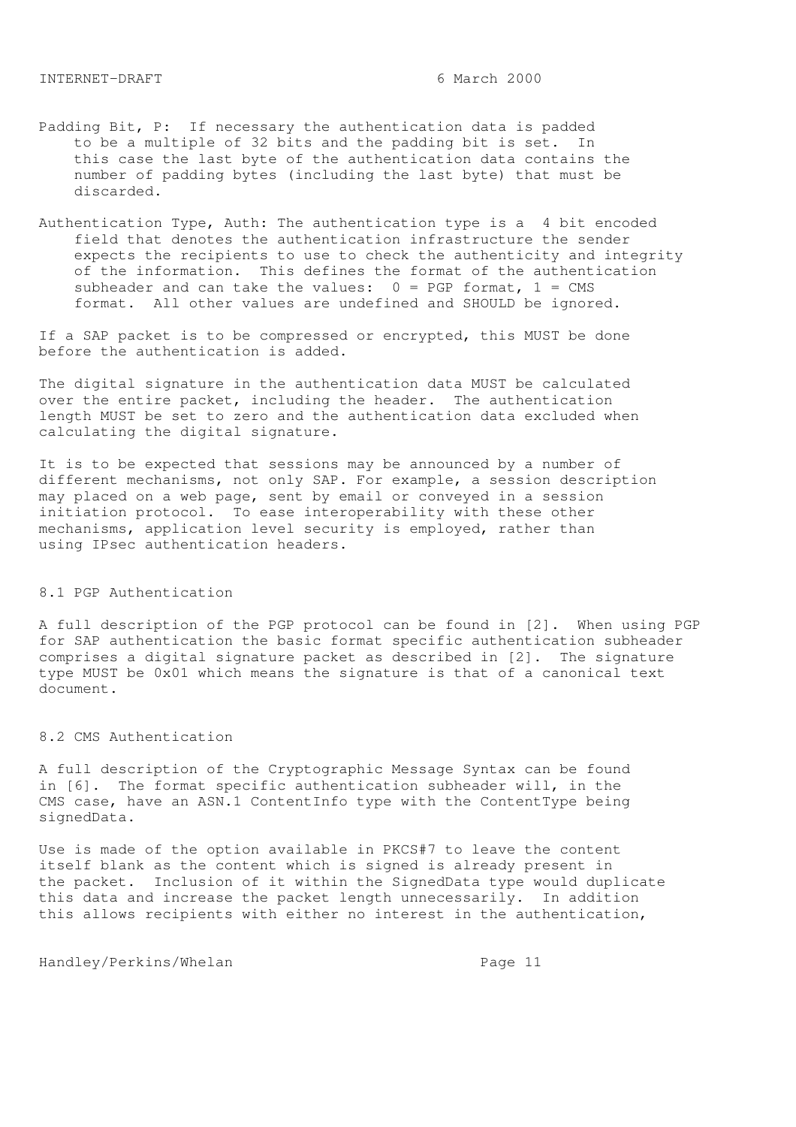- Padding Bit, P: If necessary the authentication data is padded to be a multiple of 32 bits and the padding bit is set. In this case the last byte of the authentication data contains the number of padding bytes (including the last byte) that must be discarded.
- Authentication Type, Auth: The authentication type is a 4 bit encoded field that denotes the authentication infrastructure the sender expects the recipients to use to check the authenticity and integrity of the information. This defines the format of the authentication subheader and can take the values:  $0 = PGP$  format,  $1 = CMS$ format. All other values are undefined and SHOULD be ignored.

If a SAP packet is to be compressed or encrypted, this MUST be done before the authentication is added.

The digital signature in the authentication data MUST be calculated over the entire packet, including the header. The authentication length MUST be set to zero and the authentication data excluded when calculating the digital signature.

It is to be expected that sessions may be announced by a number of different mechanisms, not only SAP. For example, a session description may placed on a web page, sent by email or conveyed in a session initiation protocol. To ease interoperability with these other mechanisms, application level security is employed, rather than using IPsec authentication headers.

# 8.1 PGP Authentication

A full description of the PGP protocol can be found in [2]. When using PGP for SAP authentication the basic format specific authentication subheader comprises a digital signature packet as described in [2]. The signature type MUST be 0x01 which means the signature is that of a canonical text document.

#### 8.2 CMS Authentication

A full description of the Cryptographic Message Syntax can be found in [6]. The format specific authentication subheader will, in the CMS case, have an ASN.1 ContentInfo type with the ContentType being signedData.

Use is made of the option available in PKCS#7 to leave the content itself blank as the content which is signed is already present in the packet. Inclusion of it within the SignedData type would duplicate this data and increase the packet length unnecessarily. In addition this allows recipients with either no interest in the authentication,

Handley/Perkins/Whelan extended the Page 11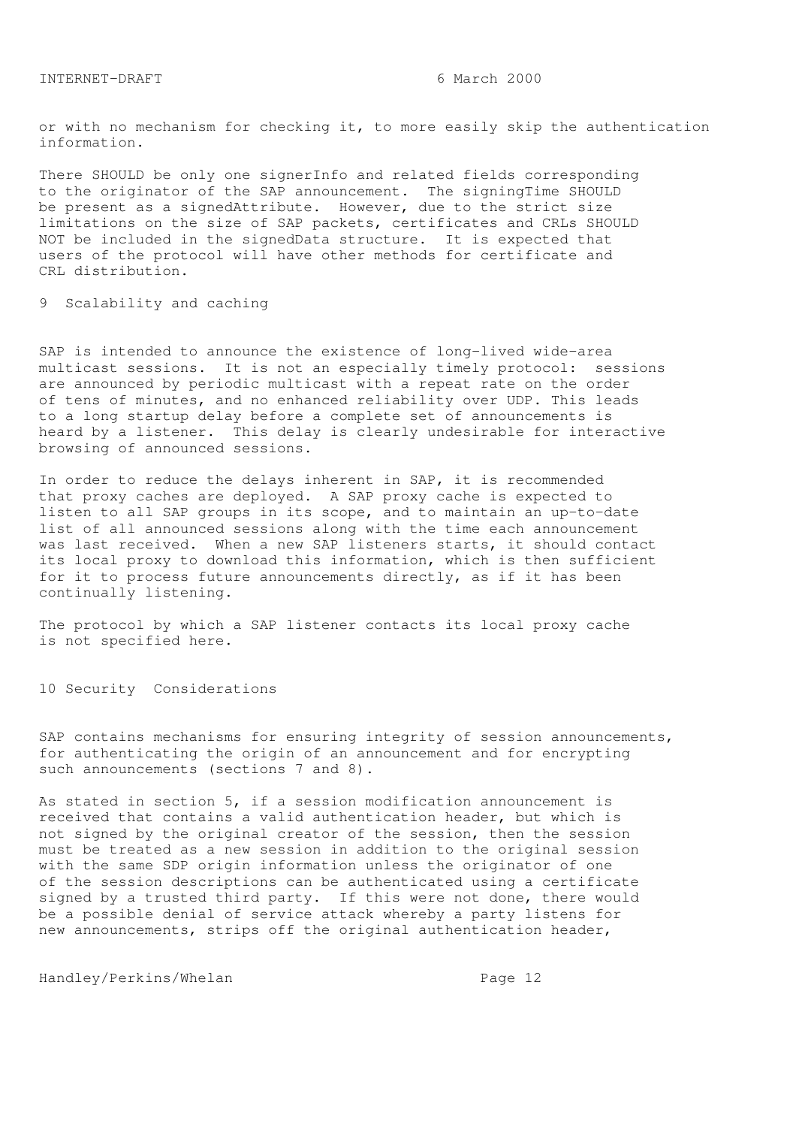or with no mechanism for checking it, to more easily skip the authentication information.

There SHOULD be only one signerInfo and related fields corresponding to the originator of the SAP announcement. The signingTime SHOULD be present as a signedAttribute. However, due to the strict size limitations on the size of SAP packets, certificates and CRLs SHOULD NOT be included in the signedData structure. It is expected that users of the protocol will have other methods for certificate and CRL distribution.

9 Scalability and caching

SAP is intended to announce the existence of long-lived wide-area multicast sessions. It is not an especially timely protocol: sessions are announced by periodic multicast with a repeat rate on the order of tens of minutes, and no enhanced reliability over UDP. This leads to a long startup delay before a complete set of announcements is heard by a listener. This delay is clearly undesirable for interactive browsing of announced sessions.

In order to reduce the delays inherent in SAP, it is recommended that proxy caches are deployed. A SAP proxy cache is expected to listen to all SAP groups in its scope, and to maintain an up-to-date list of all announced sessions along with the time each announcement was last received. When a new SAP listeners starts, it should contact its local proxy to download this information, which is then sufficient for it to process future announcements directly, as if it has been continually listening.

The protocol by which a SAP listener contacts its local proxy cache is not specified here.

10 Security Considerations

SAP contains mechanisms for ensuring integrity of session announcements, for authenticating the origin of an announcement and for encrypting such announcements (sections 7 and 8).

As stated in section 5, if a session modification announcement is received that contains a valid authentication header, but which is not signed by the original creator of the session, then the session must be treated as a new session in addition to the original session with the same SDP origin information unless the originator of one of the session descriptions can be authenticated using a certificate signed by a trusted third party. If this were not done, there would be a possible denial of service attack whereby a party listens for new announcements, strips off the original authentication header,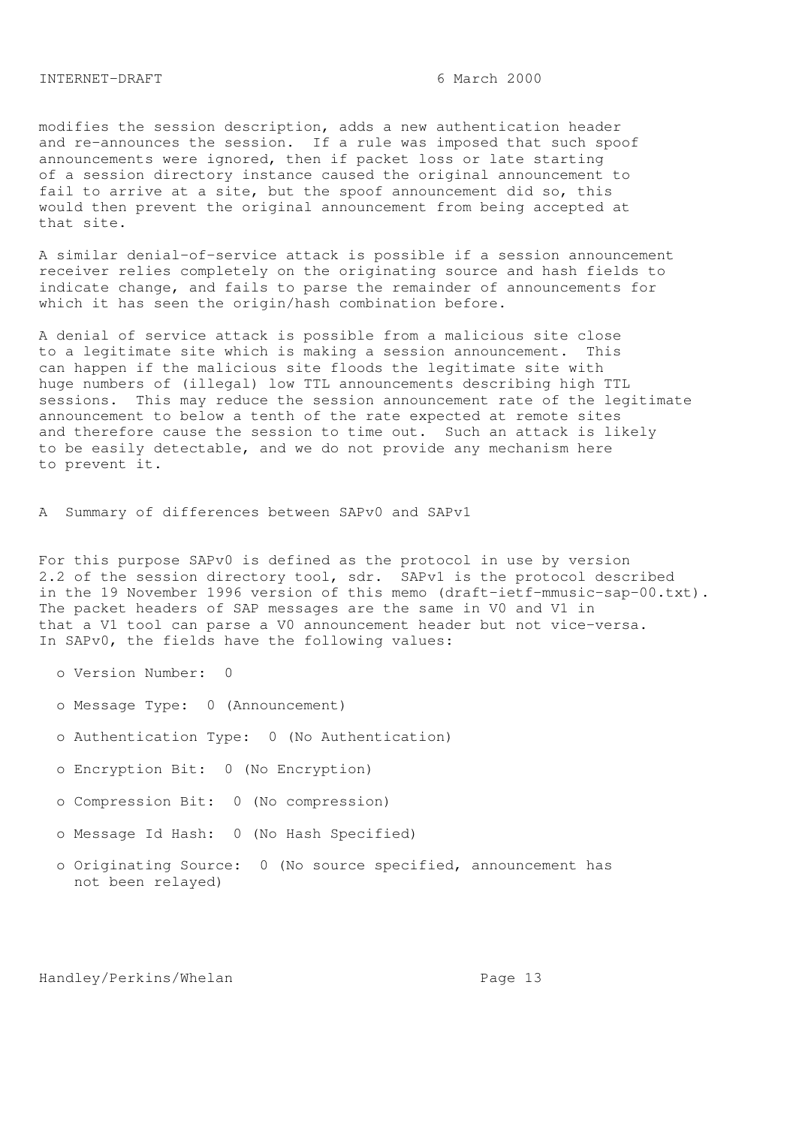modifies the session description, adds a new authentication header and re-announces the session. If a rule was imposed that such spoof announcements were ignored, then if packet loss or late starting of a session directory instance caused the original announcement to fail to arrive at a site, but the spoof announcement did so, this would then prevent the original announcement from being accepted at that site.

A similar denial-of-service attack is possible if a session announcement receiver relies completely on the originating source and hash fields to indicate change, and fails to parse the remainder of announcements for which it has seen the origin/hash combination before.

A denial of service attack is possible from a malicious site close to a legitimate site which is making a session announcement. This can happen if the malicious site floods the legitimate site with huge numbers of (illegal) low TTL announcements describing high TTL sessions. This may reduce the session announcement rate of the legitimate announcement to below a tenth of the rate expected at remote sites and therefore cause the session to time out. Such an attack is likely to be easily detectable, and we do not provide any mechanism here to prevent it.

A Summary of differences between SAPv0 and SAPv1

For this purpose SAPv0 is defined as the protocol in use by version 2.2 of the session directory tool, sdr. SAPv1 is the protocol described in the 19 November 1996 version of this memo (draft-ietf-mmusic-sap-00.txt). The packet headers of SAP messages are the same in V0 and V1 in that a V1 tool can parse a V0 announcement header but not vice-versa. In SAPv0, the fields have the following values:

- o Version Number: 0
- o Message Type: 0 (Announcement)
- o Authentication Type: 0 (No Authentication)
- o Encryption Bit: 0 (No Encryption)
- o Compression Bit: 0 (No compression)
- o Message Id Hash: 0 (No Hash Specified)
- o Originating Source: 0 (No source specified, announcement has not been relayed)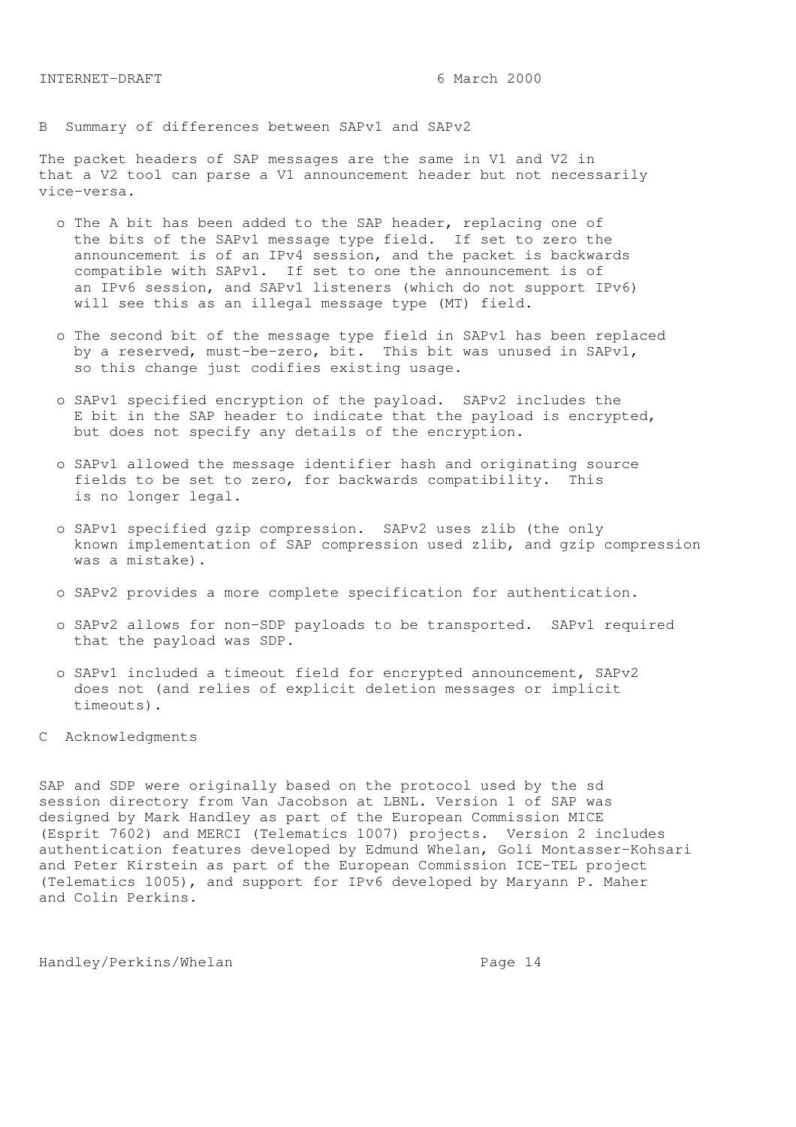B Summary of differences between SAPv1 and SAPv2

The packet headers of SAP messages are the same in V1 and V2 in that a V2 tool can parse a V1 announcement header but not necessarily vice-versa.

- o The A bit has been added to the SAP header, replacing one of the bits of the SAPv1 message type field. If set to zero the announcement is of an IPv4 session, and the packet is backwards compatible with SAPv1. If set to one the announcement is of an IPv6 session, and SAPv1 listeners (which do not support IPv6) will see this as an illegal message type (MT) field.
- o The second bit of the message type field in SAPv1 has been replaced by a reserved, must-be-zero, bit. This bit was unused in SAPv1, so this change just codifies existing usage.
- o SAPv1 specified encryption of the payload. SAPv2 includes the E bit in the SAP header to indicate that the payload is encrypted, but does not specify any details of the encryption.
- o SAPv1 allowed the message identifier hash and originating source fields to be set to zero, for backwards compatibility. This is no longer legal.
- o SAPv1 specified gzip compression. SAPv2 uses zlib (the only known implementation of SAP compression used zlib, and gzip compression was a mistake).
- o SAPv2 provides a more complete specification for authentication.
- o SAPv2 allows for non-SDP payloads to be transported. SAPv1 required that the payload was SDP.
- o SAPv1 included a timeout field for encrypted announcement, SAPv2 does not (and relies of explicit deletion messages or implicit timeouts).
- C Acknowledgments

SAP and SDP were originally based on the protocol used by the sd session directory from Van Jacobson at LBNL. Version 1 of SAP was designed by Mark Handley as part of the European Commission MICE (Esprit 7602) and MERCI (Telematics 1007) projects. Version 2 includes authentication features developed by Edmund Whelan, Goli Montasser-Kohsari and Peter Kirstein as part of the European Commission ICE-TEL project (Telematics 1005), and support for IPv6 developed by Maryann P. Maher and Colin Perkins.

Handley/Perkins/Whelan extended to the Page 14